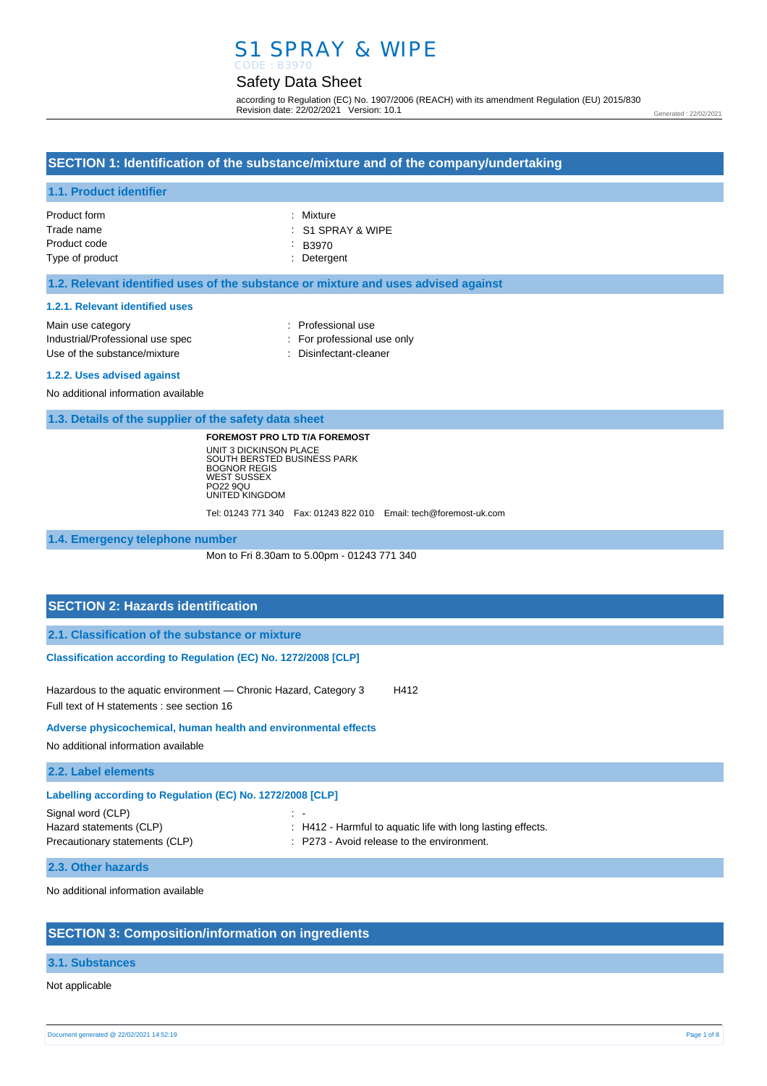## S1 SPRAY & WIPE CODE : B3970

## Safety Data Sheet

according to Regulation (EC) No. 1907/2006 (REACH) with its amendment Regulation (EU) 2015/830 Revision date: 22/02/2021 Version: 10.1

Generated : 22/02/2021

## **SECTION 1: Identification of the substance/mixture and of the company/undertaking**

### **1.1. Product identifier**

| $\therefore$ S1 SPRAY & WIPE |
|------------------------------|
|                              |
|                              |
|                              |

#### **1.2. Relevant identified uses of the substance or mixture and uses advised against**

#### **1.2.1. Relevant identified uses**

| Main use category                | : Professional use          |
|----------------------------------|-----------------------------|
| Industrial/Professional use spec | : For professional use only |
| Use of the substance/mixture     | : Disinfectant-cleaner      |
| .                                |                             |

#### **1.2.2. Uses advised against**

No additional information available

**1.3. Details of the supplier of the safety data sheet**

**FOREMOST PRO LTD T/A FOREMOST** UNIT 3 DICKINSON PLACE SOUTH BERSTED BUSINESS PARK BOGNOR REGIS WEST SUSSEX PO22 9QU UNITED KINGDOM

Tel: 01243 771 340 Fax: 01243 822 010 Email: tech@foremost-uk.com

**1.4. Emergency telephone number**

Mon to Fri 8.30am to 5.00pm - 01243 771 340

### **SECTION 2: Hazards identification**

**2.1. Classification of the substance or mixture**

**Classification according to Regulation (EC) No. 1272/2008 [CLP]** 

Hazardous to the aquatic environment - Chronic Hazard, Category 3 H412 Full text of H statements : see section 16

**Adverse physicochemical, human health and environmental effects** 

No additional information available

**2.2. Label elements**

| Labelling according to Regulation (EC) No. 1272/2008 [CLP] |                                                             |  |  |
|------------------------------------------------------------|-------------------------------------------------------------|--|--|
| Signal word (CLP)                                          | $\sim$                                                      |  |  |
| Hazard statements (CLP)                                    | : H412 - Harmful to aquatic life with long lasting effects. |  |  |
| Precautionary statements (CLP)                             | : P273 - Avoid release to the environment.                  |  |  |
|                                                            |                                                             |  |  |

#### **2.3. Other hazards**

No additional information available

### **SECTION 3: Composition/information on ingredients**

#### **3.1. Substances**

Not applicable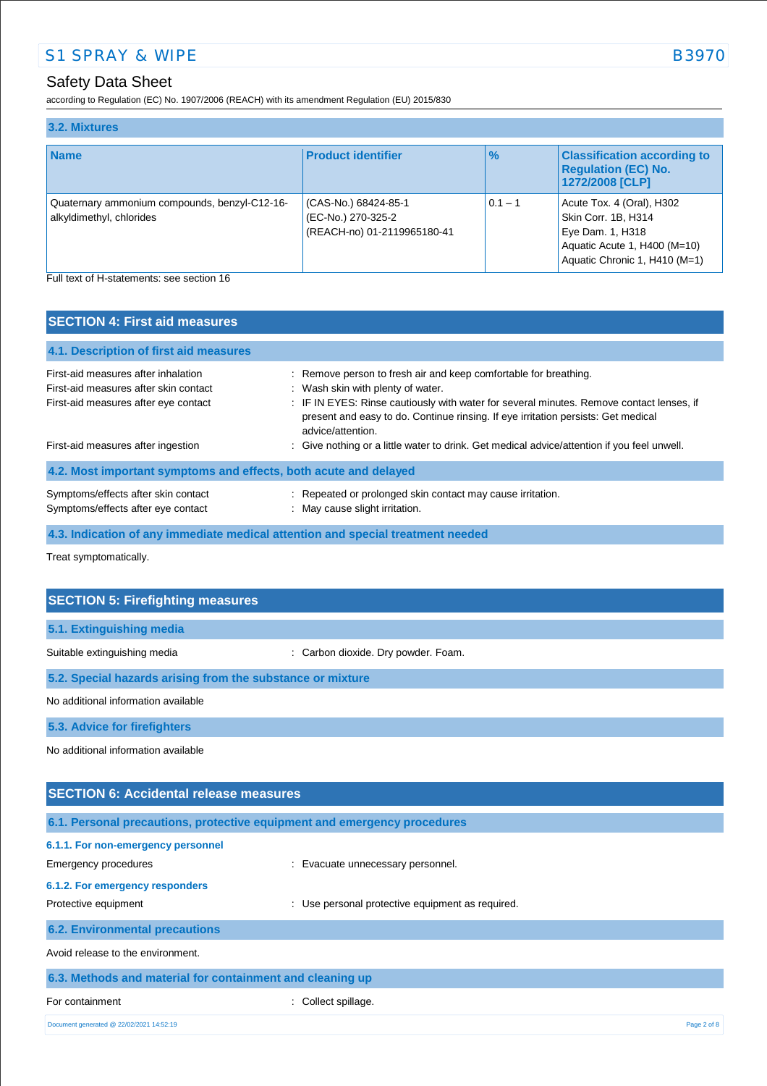## Safety Data Sheet

according to Regulation (EC) No. 1907/2006 (REACH) with its amendment Regulation (EU) 2015/830

| 3.2. Mixtures                                                             |                                                                           |               |                                                                                                                                       |
|---------------------------------------------------------------------------|---------------------------------------------------------------------------|---------------|---------------------------------------------------------------------------------------------------------------------------------------|
| <b>Name</b>                                                               | <b>Product identifier</b>                                                 | $\frac{9}{6}$ | <b>Classification according to</b><br><b>Regulation (EC) No.</b><br>1272/2008 [CLP]                                                   |
| Quaternary ammonium compounds, benzyl-C12-16-<br>alkyldimethyl, chlorides | (CAS-No.) 68424-85-1<br>(EC-No.) 270-325-2<br>(REACH-no) 01-2119965180-41 | $0.1 - 1$     | Acute Tox. 4 (Oral), H302<br>Skin Corr. 1B, H314<br>Eye Dam. 1, H318<br>Aquatic Acute 1, H400 (M=10)<br>Aquatic Chronic 1, H410 (M=1) |

Full text of H-statements: see section 16

| <b>SECTION 4: First aid measures</b>                                                                                 |                                                                                                                                                                                                                                                                                                             |  |  |
|----------------------------------------------------------------------------------------------------------------------|-------------------------------------------------------------------------------------------------------------------------------------------------------------------------------------------------------------------------------------------------------------------------------------------------------------|--|--|
| 4.1. Description of first aid measures                                                                               |                                                                                                                                                                                                                                                                                                             |  |  |
| First-aid measures after inhalation<br>First-aid measures after skin contact<br>First-aid measures after eye contact | : Remove person to fresh air and keep comfortable for breathing.<br>: Wash skin with plenty of water.<br>: IF IN EYES: Rinse cautiously with water for several minutes. Remove contact lenses, if<br>present and easy to do. Continue rinsing. If eye irritation persists: Get medical<br>advice/attention. |  |  |
| First-aid measures after ingestion                                                                                   | : Give nothing or a little water to drink. Get medical advice/attention if you feel unwell.                                                                                                                                                                                                                 |  |  |
| 4.2. Most important symptoms and effects, both acute and delayed                                                     |                                                                                                                                                                                                                                                                                                             |  |  |
| Symptoms/effects after skin contact<br>Symptoms/effects after eye contact                                            | : Repeated or prolonged skin contact may cause irritation.<br>: May cause slight irritation.                                                                                                                                                                                                                |  |  |
| 4.3. Indication of any immediate medical attention and special treatment needed                                      |                                                                                                                                                                                                                                                                                                             |  |  |

Treat symptomatically.

| <b>SECTION 5: Firefighting measures</b>                                  |                                     |  |
|--------------------------------------------------------------------------|-------------------------------------|--|
|                                                                          |                                     |  |
| 5.1. Extinguishing media                                                 |                                     |  |
| Suitable extinguishing media                                             | : Carbon dioxide. Dry powder. Foam. |  |
| 5.2. Special hazards arising from the substance or mixture               |                                     |  |
| No additional information available                                      |                                     |  |
| 5.3. Advice for firefighters                                             |                                     |  |
| No additional information available                                      |                                     |  |
|                                                                          |                                     |  |
| <b>SECTION 6: Accidental release measures</b>                            |                                     |  |
| 6.1. Personal precautions, protective equipment and emergency procedures |                                     |  |
| 6.1.1. For non-emergency personnel                                       |                                     |  |

Emergency procedures **in the contract of the Contract Contract Evacuate unnecessary personnel. 6.1.2. For emergency responders**  Protective equipment **interest in the COV** MS Use personal protective equipment as required. **6.2. Environmental precautions** Avoid release to the environment. **6.3. Methods and material for containment and cleaning up** For containment : Collect spillage.

Document generated @ 22/02/2021 14:52:19 Page 2 of 8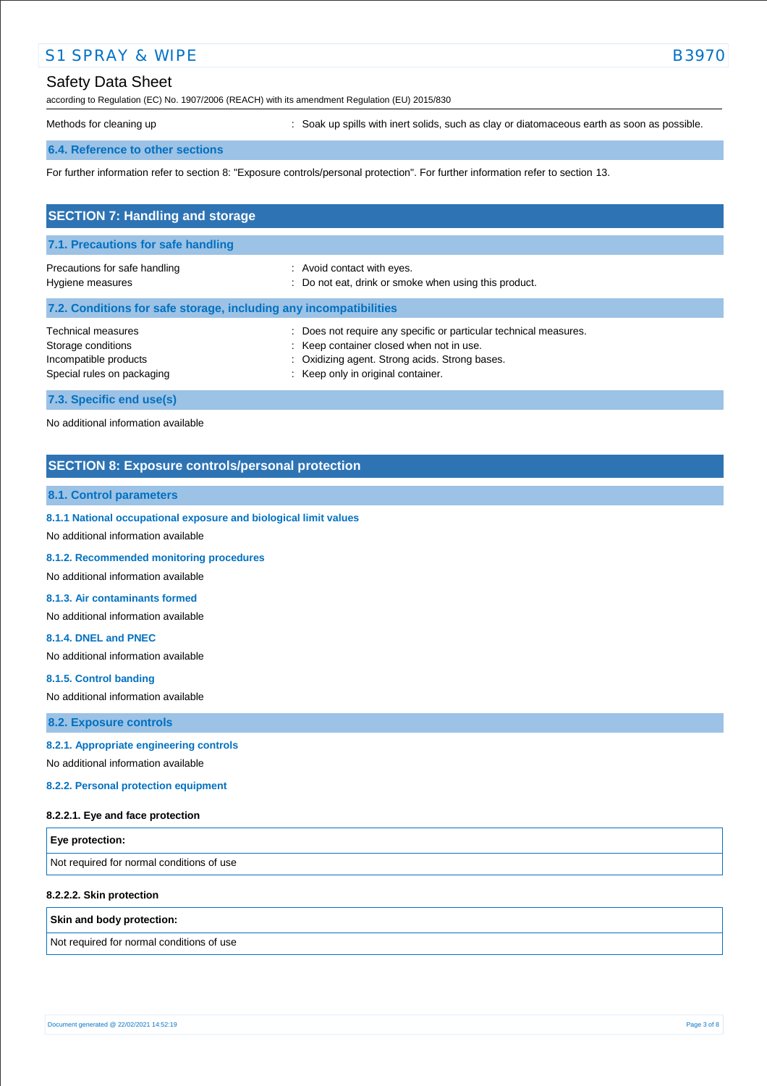# Safety Data Sheet

according to Regulation (EC) No. 1907/2006 (REACH) with its amendment Regulation (EU) 2015/830

Methods for cleaning up **interpret in the spills** with inert solids, such as clay or diatomaceous earth as soon as possible.

## **6.4. Reference to other sections**

For further information refer to section 8: "Exposure controls/personal protection". For further information refer to section 13.

| <b>SECTION 7: Handling and storage</b>                                                          |                                                                                                                                                                                                     |  |  |
|-------------------------------------------------------------------------------------------------|-----------------------------------------------------------------------------------------------------------------------------------------------------------------------------------------------------|--|--|
| 7.1. Precautions for safe handling                                                              |                                                                                                                                                                                                     |  |  |
| Precautions for safe handling<br>Hygiene measures                                               | : Avoid contact with eyes.<br>: Do not eat, drink or smoke when using this product.                                                                                                                 |  |  |
| 7.2. Conditions for safe storage, including any incompatibilities                               |                                                                                                                                                                                                     |  |  |
| Technical measures<br>Storage conditions<br>Incompatible products<br>Special rules on packaging | Does not require any specific or particular technical measures.<br>: Keep container closed when not in use.<br>: Oxidizing agent. Strong acids. Strong bases.<br>: Keep only in original container. |  |  |
| 7.3. Specific end use(s)                                                                        |                                                                                                                                                                                                     |  |  |

No additional information available

## **SECTION 8: Exposure controls/personal protection**

#### **8.1. Control parameters**

**8.1.1 National occupational exposure and biological limit values** 

No additional information available

**8.1.2. Recommended monitoring procedures** 

No additional information available

#### **8.1.3. Air contaminants formed**

No additional information available

#### **8.1.4. DNEL and PNEC**

No additional information available

**8.1.5. Control banding** 

No additional information available

**8.2. Exposure controls**

#### **8.2.1. Appropriate engineering controls**

No additional information available

**8.2.2. Personal protection equipment** 

#### **8.2.2.1. Eye and face protection**

| <b>Eye protection:</b>                    |  |
|-------------------------------------------|--|
| Not required for normal conditions of use |  |

#### **8.2.2.2. Skin protection**

#### **Skin and body protection:**

Not required for normal conditions of use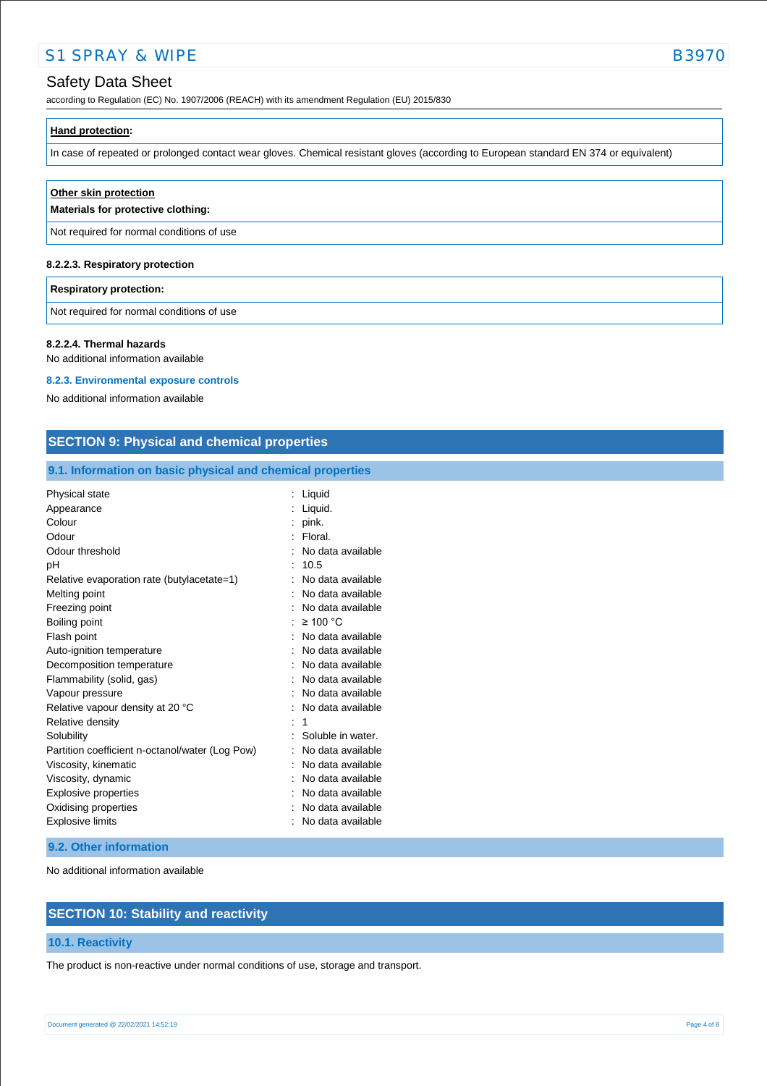## Safety Data Sheet

according to Regulation (EC) No. 1907/2006 (REACH) with its amendment Regulation (EU) 2015/830

In case of repeated or prolonged contact wear gloves. Chemical resistant gloves (according to European standard EN 374 or equivalent)

| Other skin protection<br>Materials for protective clothing: |
|-------------------------------------------------------------|
| Not required for normal conditions of use                   |
| 8.2.2.3. Respiratory protection                             |

#### **Respiratory protection:**

Not required for normal conditions of use

#### **8.2.2.4. Thermal hazards**

No additional information available

#### **8.2.3. Environmental exposure controls**

No additional information available

## **SECTION 9: Physical and chemical properties**

## **9.1. Information on basic physical and chemical properties**

| Physical state                                  | Liquid            |
|-------------------------------------------------|-------------------|
| Appearance                                      | Liquid.           |
| Colour                                          | pink.             |
| Odour                                           | Floral.           |
| Odour threshold                                 | No data available |
| рH                                              | 10.5              |
| Relative evaporation rate (butylacetate=1)      | No data available |
| Melting point                                   | No data available |
| Freezing point                                  | No data available |
| Boiling point                                   | $\geq 100$ °C     |
| Flash point                                     | No data available |
| Auto-ignition temperature                       | No data available |
| Decomposition temperature                       | No data available |
| Flammability (solid, gas)                       | No data available |
| Vapour pressure                                 | No data available |
| Relative vapour density at 20 °C                | No data available |
| Relative density                                | 1                 |
| Solubility                                      | Soluble in water. |
| Partition coefficient n-octanol/water (Log Pow) | No data available |
| Viscosity, kinematic                            | No data available |
| Viscosity, dynamic                              | No data available |
| Explosive properties                            | No data available |
| Oxidising properties                            | No data available |
| <b>Explosive limits</b>                         | No data available |

#### **9.2. Other information**

No additional information available

## **SECTION 10: Stability and reactivity**

### **10.1. Reactivity**

The product is non-reactive under normal conditions of use, storage and transport.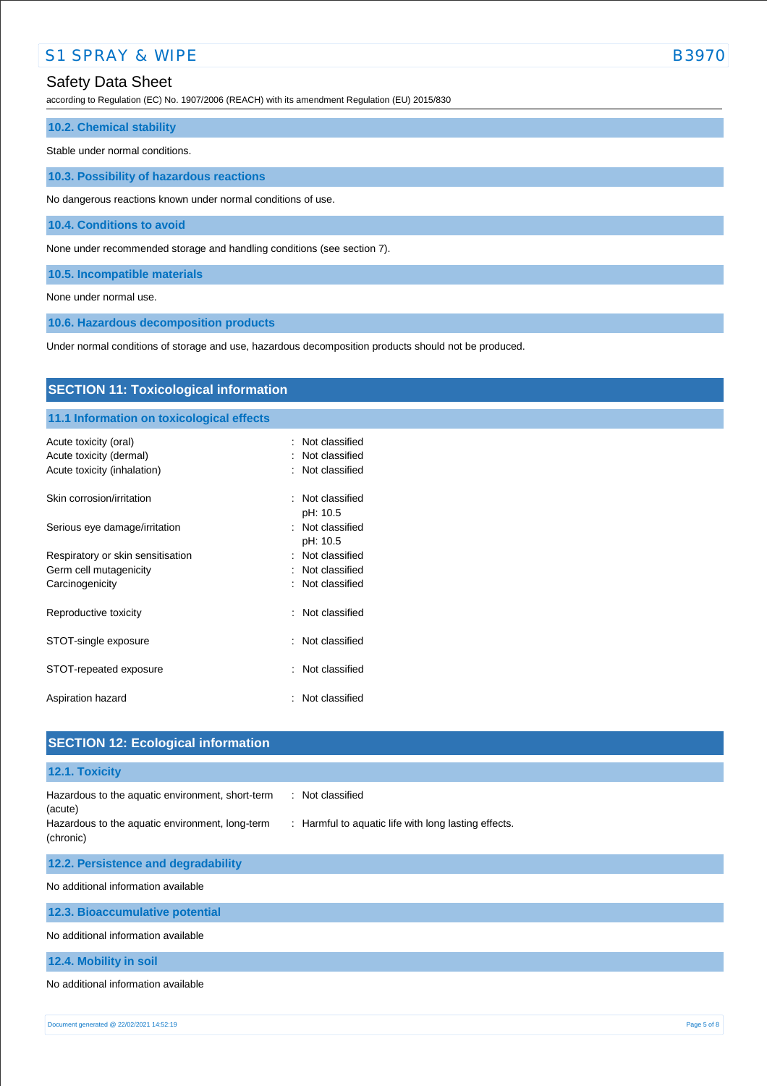## Safety Data Sheet

according to Regulation (EC) No. 1907/2006 (REACH) with its amendment Regulation (EU) 2015/830

#### **10.2. Chemical stability**

Stable under normal conditions.

**10.3. Possibility of hazardous reactions**

No dangerous reactions known under normal conditions of use.

**10.4. Conditions to avoid**

None under recommended storage and handling conditions (see section 7).

**10.5. Incompatible materials**

None under normal use.

**10.6. Hazardous decomposition products**

Under normal conditions of storage and use, hazardous decomposition products should not be produced.

| <b>SECTION 11: Toxicological information</b>                                    |                                                                 |  |
|---------------------------------------------------------------------------------|-----------------------------------------------------------------|--|
| 11.1 Information on toxicological effects                                       |                                                                 |  |
| Acute toxicity (oral)<br>Acute toxicity (dermal)<br>Acute toxicity (inhalation) | Not classified<br>$\bullet$<br>Not classified<br>Not classified |  |
| Skin corrosion/irritation                                                       | Not classified<br>pH: 10.5                                      |  |
| Serious eye damage/irritation                                                   | : Not classified<br>pH: 10.5                                    |  |
| Respiratory or skin sensitisation                                               | Not classified                                                  |  |
| Germ cell mutagenicity                                                          | Not classified                                                  |  |
| Carcinogenicity                                                                 | Not classified<br>÷                                             |  |
| Reproductive toxicity                                                           | : Not classified                                                |  |
| STOT-single exposure                                                            | Not classified<br>÷                                             |  |
| STOT-repeated exposure                                                          | Not classified<br>÷                                             |  |
| Aspiration hazard                                                               | Not classified<br>÷                                             |  |
| <b>SECTION 12: Ecological information</b>                                       |                                                                 |  |

# **12.1. Toxicity** Hazardous to the aquatic environment, short-term (acute) : Not classified Hazardous to the aquatic environment, long-term (chronic) : Harmful to aquatic life with long lasting effects. **12.2. Persistence and degradability** No additional information available **12.3. Bioaccumulative potential** No additional information available **12.4. Mobility in soil** No additional information available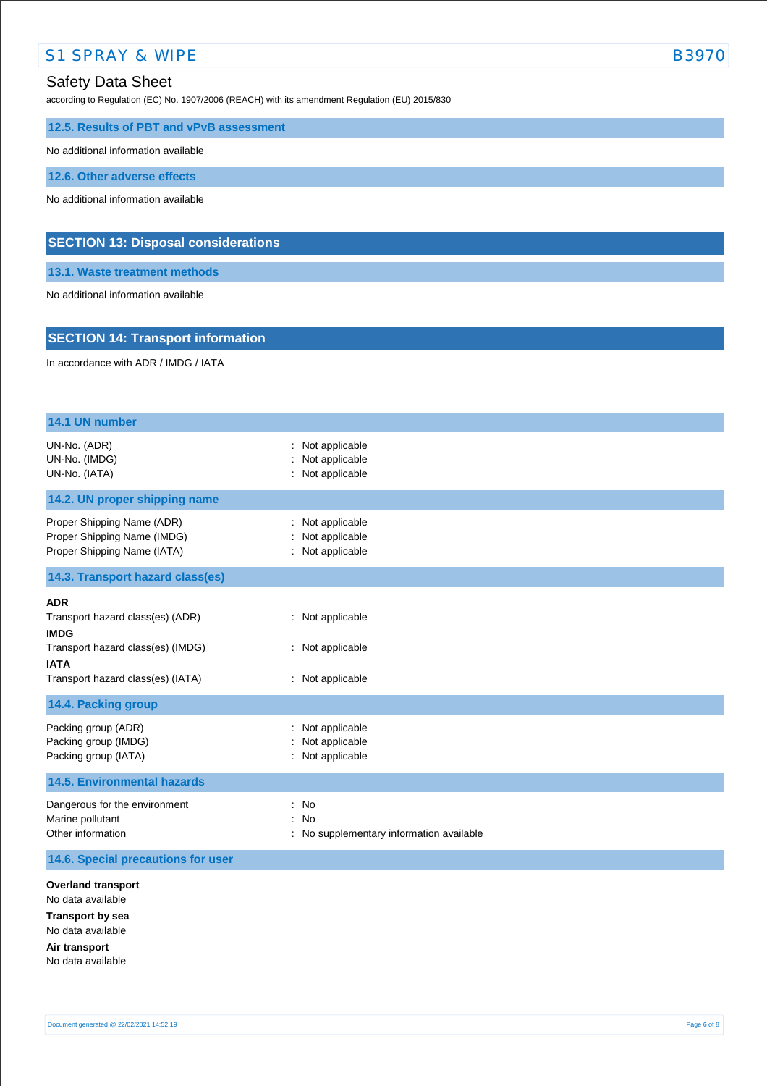according to Regulation (EC) No. 1907/2006 (REACH) with its amendment Regulation (EU) 2015/830

**12.5. Results of PBT and vPvB assessment**

No additional information available

**12.6. Other adverse effects**

No additional information available

## **SECTION 13: Disposal considerations**

**13.1. Waste treatment methods**

No additional information available

## **SECTION 14: Transport information**

In accordance with ADR / IMDG / IATA

| 14.1 UN number                                                                                                                       |                                                    |
|--------------------------------------------------------------------------------------------------------------------------------------|----------------------------------------------------|
| UN-No. (ADR)<br>UN-No. (IMDG)<br>UN-No. (IATA)                                                                                       | Not applicable<br>Not applicable<br>Not applicable |
| 14.2. UN proper shipping name                                                                                                        |                                                    |
| Proper Shipping Name (ADR)<br>Proper Shipping Name (IMDG)<br>Proper Shipping Name (IATA)                                             | Not applicable<br>Not applicable<br>Not applicable |
| 14.3. Transport hazard class(es)                                                                                                     |                                                    |
| <b>ADR</b><br>Transport hazard class(es) (ADR)<br><b>IMDG</b>                                                                        | : Not applicable                                   |
| Transport hazard class(es) (IMDG)<br><b>IATA</b>                                                                                     | Not applicable                                     |
| Transport hazard class(es) (IATA)                                                                                                    | : Not applicable                                   |
| 14.4. Packing group                                                                                                                  |                                                    |
| Packing group (ADR)<br>Packing group (IMDG)<br>Packing group (IATA)                                                                  | Not applicable<br>Not applicable<br>Not applicable |
| <b>14.5. Environmental hazards</b>                                                                                                   |                                                    |
| Dangerous for the environment<br>Marine pollutant<br>Other information                                                               | No<br>No<br>No supplementary information available |
| 14.6. Special precautions for user                                                                                                   |                                                    |
| <b>Overland transport</b><br>No data available<br><b>Transport by sea</b><br>No data available<br>Air transport<br>No data available |                                                    |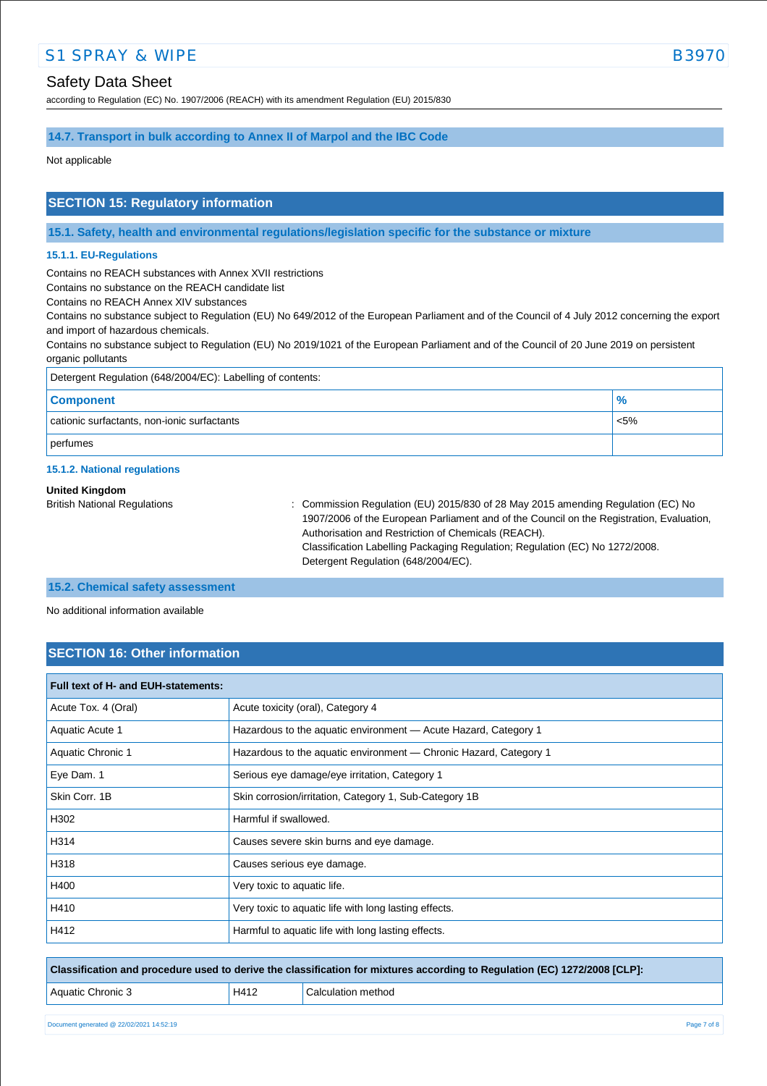## Safety Data Sheet

according to Regulation (EC) No. 1907/2006 (REACH) with its amendment Regulation (EU) 2015/830

### **14.7. Transport in bulk according to Annex II of Marpol and the IBC Code**

Not applicable

## **SECTION 15: Regulatory information**

**15.1. Safety, health and environmental regulations/legislation specific for the substance or mixture**

#### **15.1.1. EU-Regulations**

Contains no REACH substances with Annex XVII restrictions

Contains no substance on the REACH candidate list

Contains no REACH Annex XIV substances

Contains no substance subject to Regulation (EU) No 649/2012 of the European Parliament and of the Council of 4 July 2012 concerning the export and import of hazardous chemicals.

Contains no substance subject to Regulation (EU) No 2019/1021 of the European Parliament and of the Council of 20 June 2019 on persistent organic pollutants

| Detergent Regulation (648/2004/EC): Labelling of contents: |               |  |
|------------------------------------------------------------|---------------|--|
| <b>Component</b>                                           | $\frac{9}{6}$ |  |
| cationic surfactants, non-ionic surfactants                | $< 5\%$       |  |
| perfumes                                                   |               |  |

#### **15.1.2. National regulations**

#### **United Kingdom**

British National Regulations : Commission Regulation (EU) 2015/830 of 28 May 2015 amending Regulation (EC) No 1907/2006 of the European Parliament and of the Council on the Registration, Evaluation, Authorisation and Restriction of Chemicals (REACH). Classification Labelling Packaging Regulation; Regulation (EC) No 1272/2008. Detergent Regulation (648/2004/EC).

#### **15.2. Chemical safety assessment**

No additional information available

## **SECTION 16: Other information**

| Full text of H- and EUH-statements: |                                                                   |
|-------------------------------------|-------------------------------------------------------------------|
| Acute Tox. 4 (Oral)                 | Acute toxicity (oral), Category 4                                 |
| Aquatic Acute 1                     | Hazardous to the aquatic environment - Acute Hazard, Category 1   |
| Aquatic Chronic 1                   | Hazardous to the aquatic environment - Chronic Hazard, Category 1 |
| Eye Dam. 1                          | Serious eye damage/eye irritation, Category 1                     |
| Skin Corr, 1B                       | Skin corrosion/irritation, Category 1, Sub-Category 1B            |
| H302                                | Harmful if swallowed.                                             |
| H314                                | Causes severe skin burns and eye damage.                          |
| H318                                | Causes serious eye damage.                                        |
| H400                                | Very toxic to aquatic life.                                       |
| H410                                | Very toxic to aquatic life with long lasting effects.             |
| H412                                | Harmful to aquatic life with long lasting effects.                |

**Classification and procedure used to derive the classification for mixtures according to Regulation (EC) 1272/2008 [CLP]:**

Aquatic Chronic 3 H412 Calculation method